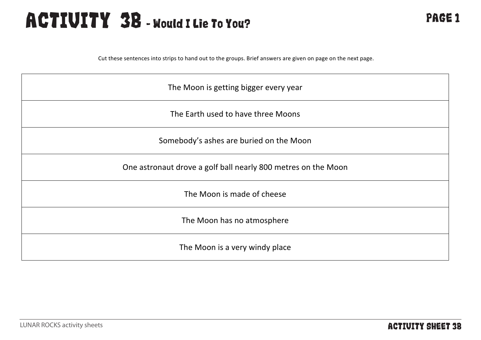### ACTIVITY 3B - Would I Lie To You? PAGE 1

Cut these sentences into strips to hand out to the groups. Brief answers are given on page on the next page.

| The Moon is getting bigger every year                         |
|---------------------------------------------------------------|
| The Earth used to have three Moons                            |
| Somebody's ashes are buried on the Moon                       |
| One astronaut drove a golf ball nearly 800 metres on the Moon |
| The Moon is made of cheese                                    |
| The Moon has no atmosphere                                    |
| The Moon is a very windy place                                |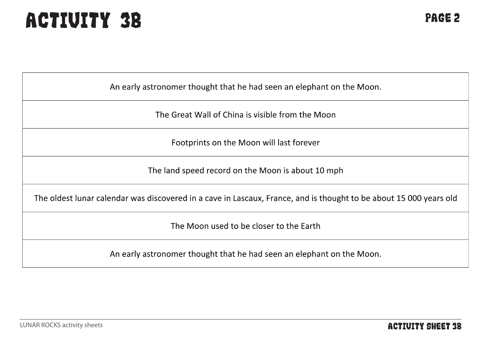# ACTIVITY 3B PAGE 2

An early astronomer thought that he had seen an elephant on the Moon.

The Great Wall of China is visible from the Moon

Footprints on the Moon will last forever

The land speed record on the Moon is about 10 mph

The oldest lunar calendar was discovered in a cave in Lascaux, France, and is thought to be about 15 000 years old

The Moon used to be closer to the Earth

An early astronomer thought that he had seen an elephant on the Moon.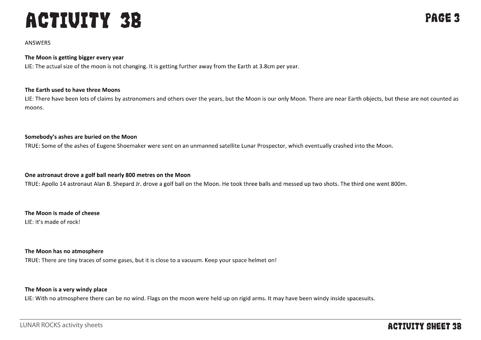## **ACTIVITY 3B**

#### **ANSWERS**

#### The Moon is getting bigger every year

LIE: The actual size of the moon is not changing. It is getting further away from the Earth at 3.8cm per year.

#### The Earth used to have three Moons

LIE: There have been lots of claims by astronomers and others over the years, but the Moon is our only Moon. There are near Earth objects, but these are not counted as moons.

#### Somebody's ashes are buried on the Moon

TRUE: Some of the ashes of Eugene Shoemaker were sent on an unmanned satellite Lunar Prospector, which eventually crashed into the Moon.

#### One astronaut drove a golf ball nearly 800 metres on the Moon

TRUE: Apollo 14 astronaut Alan B. Shepard Jr. drove a golf ball on the Moon. He took three balls and messed up two shots. The third one went 800m.

#### The Moon is made of cheese

LIE: It's made of rock!

#### The Moon has no atmosphere

TRUE: There are tiny traces of some gases, but it is close to a vacuum. Keep your space helmet on!

#### The Moon is a very windy place

LIE: With no atmosphere there can be no wind. Flags on the moon were held up on rigid arms. It may have been windy inside spacesuits.